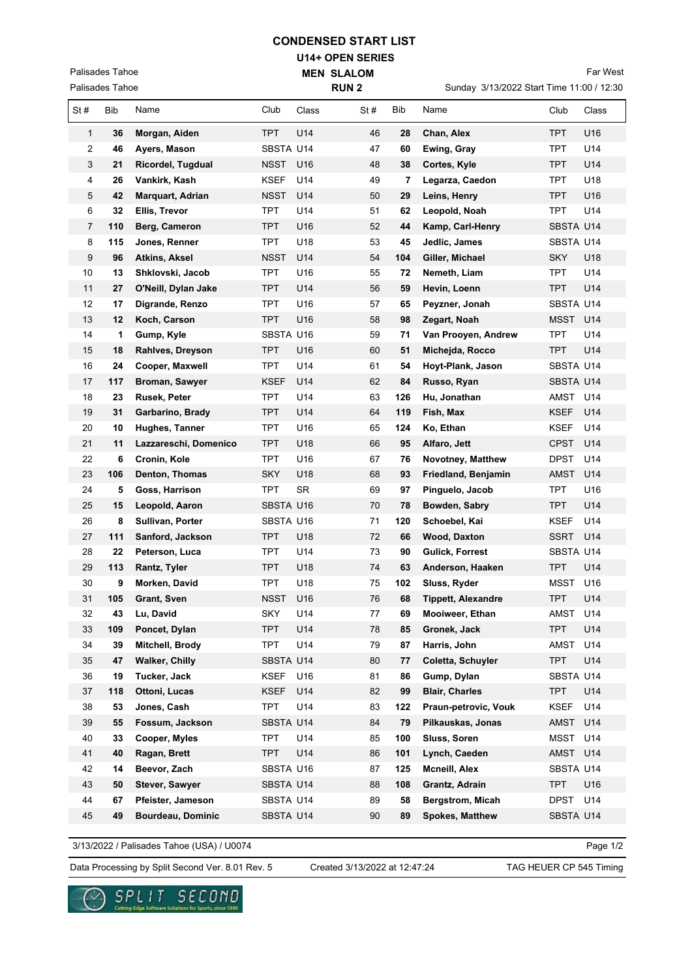## **CONDENSED START LIST**

**U14+ OPEN SERIES MEN SLALOM** 

Palisades Tahoe

Palisades Tahoe

|                | Palisades Tahoe |                       | <b>RUN2</b> |           |     |     | Sunday 3/13/2022 Start Time 11:00 / 12:30 |             |       |  |
|----------------|-----------------|-----------------------|-------------|-----------|-----|-----|-------------------------------------------|-------------|-------|--|
| St#            | Bib             | Name                  | Club        | Class     | St# | Bib | Name                                      | Club        | Class |  |
| 1              | 36              | Morgan, Aiden         | TPT.        | U14       | 46  | 28  | Chan, Alex                                | TPT.        | U16   |  |
| 2              | 46              | Ayers, Mason          | SBSTA U14   |           | 47  | 60  | Ewing, Gray                               | TPT         | U14   |  |
| 3              | 21              | Ricordel, Tugdual     | <b>NSST</b> | U16       | 48  | 38  | Cortes, Kyle                              | TPT         | U14   |  |
| 4              | 26              | Vankirk, Kash         | <b>KSEF</b> | U14       | 49  | 7   | Legarza, Caedon                           | TPT         | U18   |  |
| 5              | 42              | Marquart, Adrian      | <b>NSST</b> | U14       | 50  | 29  | Leins, Henry                              | <b>TPT</b>  | U16   |  |
| 6              | 32              | Ellis, Trevor         | <b>TPT</b>  | U14       | 51  | 62  | Leopold, Noah                             | <b>TPT</b>  | U14   |  |
| $\overline{7}$ | 110             | Berg, Cameron         | <b>TPT</b>  | U16       | 52  | 44  | Kamp, Carl-Henry                          | SBSTA U14   |       |  |
| 8              | 115             | Jones, Renner         | <b>TPT</b>  | U18       | 53  | 45  | Jedlic, James                             | SBSTA U14   |       |  |
| 9              | 96              | <b>Atkins, Aksel</b>  | <b>NSST</b> | U14       | 54  | 104 | Giller, Michael                           | <b>SKY</b>  | U18   |  |
| 10             | 13              | Shklovski, Jacob      | <b>TPT</b>  | U16       | 55  | 72  | Nemeth, Liam                              | <b>TPT</b>  | U14   |  |
| 11             | 27              | O'Neill, Dylan Jake   | <b>TPT</b>  | U14       | 56  | 59  | Hevin, Loenn                              | <b>TPT</b>  | U14   |  |
| 12             | 17              | Digrande, Renzo       | <b>TPT</b>  | U16       | 57  | 65  | Peyzner, Jonah                            | SBSTA U14   |       |  |
| 13             | 12              | Koch, Carson          | <b>TPT</b>  | U16       | 58  | 98  | Zegart, Noah                              | MSST        | U14   |  |
| 14             | 1               | Gump, Kyle            | SBSTA U16   |           | 59  | 71  | Van Prooyen, Andrew                       | TPT         | U14   |  |
| 15             | 18              | Rahlves, Dreyson      | <b>TPT</b>  | U16       | 60  | 51  | Michejda, Rocco                           | TPT         | U14   |  |
| 16             | 24              | Cooper, Maxwell       | <b>TPT</b>  | U14       | 61  | 54  | Hoyt-Plank, Jason                         | SBSTA U14   |       |  |
| 17             | 117             | Broman, Sawyer        | <b>KSEF</b> | U14       | 62  | 84  | Russo, Ryan                               | SBSTA U14   |       |  |
| 18             | 23              | Rusek, Peter          | <b>TPT</b>  | U14       | 63  | 126 | Hu, Jonathan                              | AMST        | U14   |  |
| 19             | 31              | Garbarino, Brady      | <b>TPT</b>  | U14       | 64  | 119 | Fish, Max                                 | <b>KSEF</b> | U14   |  |
| 20             | 10              | Hughes, Tanner        | <b>TPT</b>  | U16       | 65  | 124 | Ko, Ethan                                 | <b>KSEF</b> | U14   |  |
| 21             | 11              | Lazzareschi, Domenico | <b>TPT</b>  | U18       | 66  | 95  | Alfaro, Jett                              | <b>CPST</b> | U14   |  |
| 22             | 6               | Cronin, Kole          | <b>TPT</b>  | U16       | 67  | 76  | Novotney, Matthew                         | <b>DPST</b> | U14   |  |
| 23             | 106             | Denton, Thomas        | <b>SKY</b>  | U18       | 68  | 93  | Friedland, Benjamin                       | AMST        | U14   |  |
| 24             | 5               | Goss, Harrison        | <b>TPT</b>  | <b>SR</b> | 69  | 97  | Pinguelo, Jacob                           | <b>TPT</b>  | U16   |  |
| 25             | 15              | Leopold, Aaron        | SBSTA U16   |           | 70  | 78  | Bowden, Sabry                             | <b>TPT</b>  | U14   |  |
| 26             | 8               | Sullivan, Porter      | SBSTA U16   |           | 71  | 120 | Schoebel, Kai                             | <b>KSEF</b> | U14   |  |
| 27             | 111             | Sanford, Jackson      | <b>TPT</b>  | U18       | 72  | 66  | <b>Wood, Daxton</b>                       | <b>SSRT</b> | U14   |  |
| 28             | 22              | Peterson, Luca        | <b>TPT</b>  | U14       | 73  | 90  | <b>Gulick, Forrest</b>                    | SBSTA U14   |       |  |
| 29             | 113             | Rantz, Tyler          | <b>TPT</b>  | U18       | 74  | 63  | Anderson, Haaken                          | <b>TPT</b>  | U14   |  |
| 30             | 9               | Morken, David         | <b>TPT</b>  | U18       | 75  | 102 | Sluss, Ryder                              | MSST        | U16   |  |
| 31             | 105             | Grant, Sven           | <b>NSST</b> | U16       | 76  | 68  | <b>Tippett, Alexandre</b>                 | TPT         | U14   |  |
| 32             | 43              | Lu, David             | <b>SKY</b>  | U14       | 77  | 69  | Mooiweer, Ethan                           | AMST        | U14   |  |
| 33             | 109             | Poncet, Dylan         | <b>TPT</b>  | U14       | 78  | 85  | Gronek, Jack                              | <b>TPT</b>  | U14   |  |
| 34             | 39              | Mitchell, Brody       | <b>TPT</b>  | U14       | 79  | 87  | Harris, John                              | AMST        | U14   |  |
| 35             | 47              | <b>Walker, Chilly</b> | SBSTA U14   |           | 80  | 77  | Coletta, Schuyler                         | <b>TPT</b>  | U14   |  |
| 36             | 19              | Tucker, Jack          | KSEF        | U16       | 81  | 86  | Gump, Dylan                               | SBSTA U14   |       |  |
| 37             | 118             | Ottoni, Lucas         | <b>KSEF</b> | U14       | 82  | 99  | <b>Blair, Charles</b>                     | <b>TPT</b>  | U14   |  |
| 38             | 53              | Jones, Cash           | <b>TPT</b>  | U14       | 83  | 122 | Praun-petrovic, Vouk                      | <b>KSEF</b> | U14   |  |
| 39             | 55              | Fossum, Jackson       | SBSTA U14   |           | 84  | 79  | Pilkauskas, Jonas                         | <b>AMST</b> | U14   |  |
| 40             | 33              | Cooper, Myles         | <b>TPT</b>  | U14       | 85  | 100 | Sluss, Soren                              | <b>MSST</b> | U14   |  |
| 41             | 40              | Ragan, Brett          | <b>TPT</b>  | U14       | 86  | 101 | Lynch, Caeden                             | AMST        | U14   |  |
| 42             | 14              | Beevor, Zach          | SBSTA U16   |           | 87  | 125 | Mcneill, Alex                             | SBSTA U14   |       |  |
| 43             | 50              | Stever, Sawyer        | SBSTA U14   |           | 88  | 108 | Grantz, Adrain                            | <b>TPT</b>  | U16   |  |
| 44             | 67              | Pfeister, Jameson     | SBSTA U14   |           | 89  | 58  | Bergstrom, Micah                          | <b>DPST</b> | U14   |  |
| 45             | 49              | Bourdeau, Dominic     | SBSTA U14   |           | 90  | 89  | <b>Spokes, Matthew</b>                    | SBSTA U14   |       |  |

3/13/2022 / Palisades Tahoe (USA) / U0074

Page 1/2

Data Processing by Split Second Ver. 8.01 Rev. 5 Created 3/13/2022 at 12:47:24 TAG HEUER CP 545 Timing

Created 3/13/2022 at 12:47:24